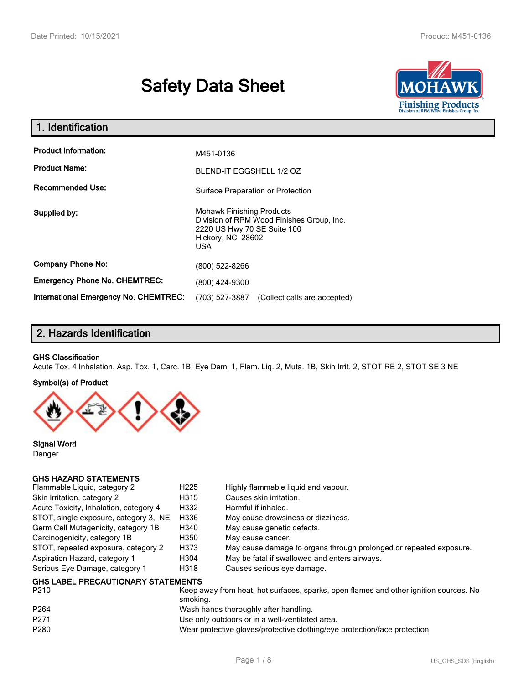# **Safety Data Sheet**



| 1. Identification                                   |                                                                                                                                                 |
|-----------------------------------------------------|-------------------------------------------------------------------------------------------------------------------------------------------------|
| <b>Product Information:</b><br><b>Product Name:</b> | M451-0136<br>BLEND-IT EGGSHELL 1/2 OZ                                                                                                           |
| <b>Recommended Use:</b>                             | Surface Preparation or Protection                                                                                                               |
| Supplied by:                                        | <b>Mohawk Finishing Products</b><br>Division of RPM Wood Finishes Group, Inc.<br>2220 US Hwy 70 SE Suite 100<br>Hickory, NC 28602<br><b>USA</b> |
| <b>Company Phone No:</b>                            | (800) 522-8266                                                                                                                                  |
| <b>Emergency Phone No. CHEMTREC:</b>                | (800) 424-9300                                                                                                                                  |
| <b>International Emergency No. CHEMTREC:</b>        | (703) 527-3887<br>(Collect calls are accepted)                                                                                                  |

## **2. Hazards Identification**

#### **GHS Classification**

Acute Tox. 4 Inhalation, Asp. Tox. 1, Carc. 1B, Eye Dam. 1, Flam. Liq. 2, Muta. 1B, Skin Irrit. 2, STOT RE 2, STOT SE 3 NE

#### **Symbol(s) of Product**



**Signal Word** Danger

#### **GHS HAZARD STATEMENTS**

| Flammable Liquid, category 2              | H <sub>225</sub> | Highly flammable liquid and vapour.                                |
|-------------------------------------------|------------------|--------------------------------------------------------------------|
| Skin Irritation, category 2               | H315             | Causes skin irritation.                                            |
| Acute Toxicity, Inhalation, category 4    | H332             | Harmful if inhaled.                                                |
| STOT, single exposure, category 3, NE     | H336             | May cause drowsiness or dizziness.                                 |
| Germ Cell Mutagenicity, category 1B       | H340             | May cause genetic defects.                                         |
| Carcinogenicity, category 1B              | H350             | May cause cancer.                                                  |
| STOT, repeated exposure, category 2       | H373             | May cause damage to organs through prolonged or repeated exposure. |
| Aspiration Hazard, category 1             | H304             | May be fatal if swallowed and enters airways.                      |
| Serious Eye Damage, category 1            | H318             | Causes serious eye damage.                                         |
| <b>GHS LABEL PRECAUTIONARY STATEMENTS</b> |                  |                                                                    |

| P <sub>210</sub> | Keep away from heat, hot surfaces, sparks, open flames and other ignition sources. No<br>smoking. |
|------------------|---------------------------------------------------------------------------------------------------|
| P <sub>264</sub> | Wash hands thoroughly after handling.                                                             |
| P271             | Use only outdoors or in a well-ventilated area.                                                   |
| P <sub>280</sub> | Wear protective gloves/protective clothing/eye protection/face protection.                        |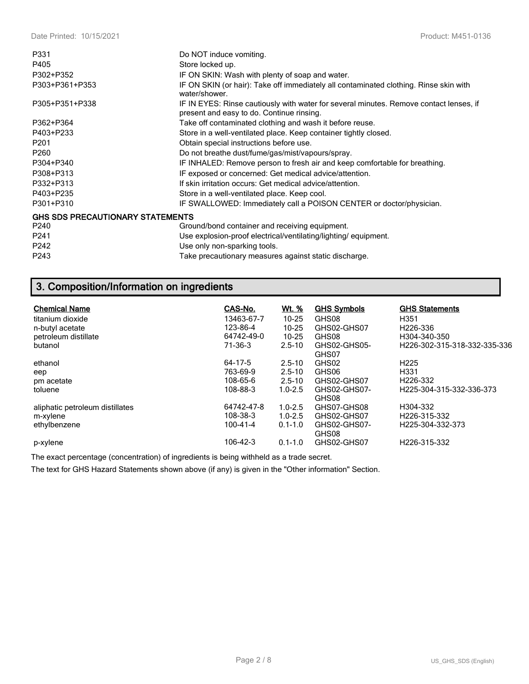| P331                                    | Do NOT induce vomiting.                                                                                                             |
|-----------------------------------------|-------------------------------------------------------------------------------------------------------------------------------------|
| P405                                    | Store locked up.                                                                                                                    |
| P302+P352                               | IF ON SKIN: Wash with plenty of soap and water.                                                                                     |
| P303+P361+P353                          | IF ON SKIN (or hair): Take off immediately all contaminated clothing. Rinse skin with<br>water/shower.                              |
| P305+P351+P338                          | IF IN EYES: Rinse cautiously with water for several minutes. Remove contact lenses, if<br>present and easy to do. Continue rinsing. |
| P362+P364                               | Take off contaminated clothing and wash it before reuse.                                                                            |
| P403+P233                               | Store in a well-ventilated place. Keep container tightly closed.                                                                    |
| P <sub>201</sub>                        | Obtain special instructions before use.                                                                                             |
| P260                                    | Do not breathe dust/fume/gas/mist/vapours/spray.                                                                                    |
| P304+P340                               | IF INHALED: Remove person to fresh air and keep comfortable for breathing.                                                          |
| P308+P313                               | IF exposed or concerned: Get medical advice/attention.                                                                              |
| P332+P313                               | If skin irritation occurs: Get medical advice/attention.                                                                            |
| P403+P235                               | Store in a well-ventilated place. Keep cool.                                                                                        |
| P301+P310                               | IF SWALLOWED: Immediately call a POISON CENTER or doctor/physician.                                                                 |
| <b>GHS SDS PRECAUTIONARY STATEMENTS</b> |                                                                                                                                     |
| P240                                    | Ground/bond container and receiving equipment.                                                                                      |
| P241                                    | Use explosion-proof electrical/ventilating/lighting/equipment.                                                                      |
| P242                                    | Use only non-sparking tools.                                                                                                        |
| P243                                    | Take precautionary measures against static discharge.                                                                               |

## **3. Composition/Information on ingredients**

| <b>Chemical Name</b>            | CAS-No.    | <u>Wt. %</u> | <b>GHS Symbols</b>    | <b>GHS Statements</b>                     |
|---------------------------------|------------|--------------|-----------------------|-------------------------------------------|
| titanium dioxide                | 13463-67-7 | $10 - 25$    | GHS08                 | H <sub>351</sub>                          |
| n-butyl acetate                 | 123-86-4   | $10 - 25$    | GHS02-GHS07           | H226-336                                  |
| petroleum distillate            | 64742-49-0 | $10 - 25$    | GHS08                 | H304-340-350                              |
| butanol                         | 71-36-3    | $2.5 - 10$   | GHS02-GHS05-          | H <sub>226</sub> -302-315-318-332-335-336 |
|                                 |            |              | GHS07                 |                                           |
| ethanol                         | 64-17-5    | $2.5 - 10$   | GHS02                 | H <sub>225</sub>                          |
| eep                             | 763-69-9   | $2.5 - 10$   | GHS06                 | H <sub>331</sub>                          |
| pm acetate                      | 108-65-6   | $2.5 - 10$   | GHS02-GHS07           | H226-332                                  |
| toluene                         | 108-88-3   | $1.0 - 2.5$  | GHS02-GHS07-          | H225-304-315-332-336-373                  |
|                                 |            |              | GHS08                 |                                           |
| aliphatic petroleum distillates | 64742-47-8 | $1.0 - 2.5$  | GHS07-GHS08           | H304-332                                  |
| m-xylene                        | 108-38-3   | $1.0 - 2.5$  | GHS02-GHS07           | H226-315-332                              |
| ethylbenzene                    | 100-41-4   | $0.1 - 1.0$  | GHS02-GHS07-<br>GHS08 | H225-304-332-373                          |
| p-xylene                        | 106-42-3   | $0.1 - 1.0$  | GHS02-GHS07           | H226-315-332                              |

The exact percentage (concentration) of ingredients is being withheld as a trade secret.

The text for GHS Hazard Statements shown above (if any) is given in the "Other information" Section.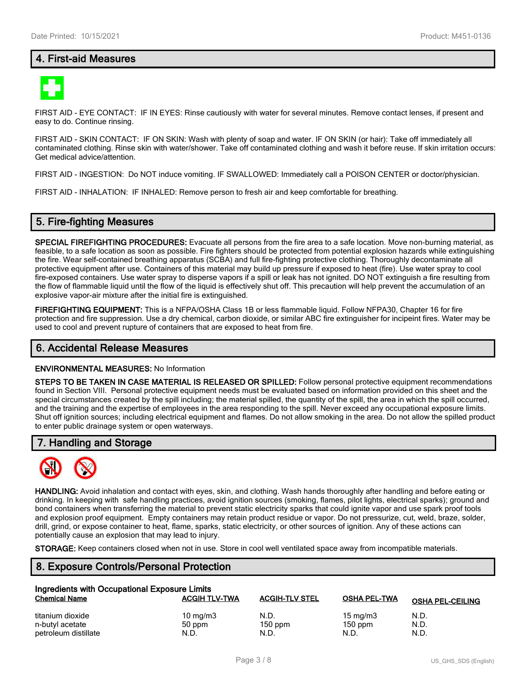## **4. First-aid Measures**



FIRST AID - EYE CONTACT: IF IN EYES: Rinse cautiously with water for several minutes. Remove contact lenses, if present and easy to do. Continue rinsing.

FIRST AID - SKIN CONTACT: IF ON SKIN: Wash with plenty of soap and water. IF ON SKIN (or hair): Take off immediately all contaminated clothing. Rinse skin with water/shower. Take off contaminated clothing and wash it before reuse. If skin irritation occurs: Get medical advice/attention.

FIRST AID - INGESTION: Do NOT induce vomiting. IF SWALLOWED: Immediately call a POISON CENTER or doctor/physician.

FIRST AID - INHALATION: IF INHALED: Remove person to fresh air and keep comfortable for breathing.

#### **5. Fire-fighting Measures**

**SPECIAL FIREFIGHTING PROCEDURES:** Evacuate all persons from the fire area to a safe location. Move non-burning material, as feasible, to a safe location as soon as possible. Fire fighters should be protected from potential explosion hazards while extinguishing the fire. Wear self-contained breathing apparatus (SCBA) and full fire-fighting protective clothing. Thoroughly decontaminate all protective equipment after use. Containers of this material may build up pressure if exposed to heat (fire). Use water spray to cool fire-exposed containers. Use water spray to disperse vapors if a spill or leak has not ignited. DO NOT extinguish a fire resulting from the flow of flammable liquid until the flow of the liquid is effectively shut off. This precaution will help prevent the accumulation of an explosive vapor-air mixture after the initial fire is extinguished.

**FIREFIGHTING EQUIPMENT:** This is a NFPA/OSHA Class 1B or less flammable liquid. Follow NFPA30, Chapter 16 for fire protection and fire suppression. Use a dry chemical, carbon dioxide, or similar ABC fire extinguisher for incipeint fires. Water may be used to cool and prevent rupture of containers that are exposed to heat from fire.

#### **6. Accidental Release Measures**

#### **ENVIRONMENTAL MEASURES:** No Information

**STEPS TO BE TAKEN IN CASE MATERIAL IS RELEASED OR SPILLED:** Follow personal protective equipment recommendations found in Section VIII. Personal protective equipment needs must be evaluated based on information provided on this sheet and the special circumstances created by the spill including; the material spilled, the quantity of the spill, the area in which the spill occurred, and the training and the expertise of employees in the area responding to the spill. Never exceed any occupational exposure limits. Shut off ignition sources; including electrical equipment and flames. Do not allow smoking in the area. Do not allow the spilled product to enter public drainage system or open waterways.

#### **7. Handling and Storage**



**HANDLING:** Avoid inhalation and contact with eyes, skin, and clothing. Wash hands thoroughly after handling and before eating or drinking. In keeping with safe handling practices, avoid ignition sources (smoking, flames, pilot lights, electrical sparks); ground and bond containers when transferring the material to prevent static electricity sparks that could ignite vapor and use spark proof tools and explosion proof equipment. Empty containers may retain product residue or vapor. Do not pressurize, cut, weld, braze, solder, drill, grind, or expose container to heat, flame, sparks, static electricity, or other sources of ignition. Any of these actions can potentially cause an explosion that may lead to injury.

**STORAGE:** Keep containers closed when not in use. Store in cool well ventilated space away from incompatible materials.

#### **8. Exposure Controls/Personal Protection**

| Ingredients with Occupational Exposure Limits |                      |                       |                     |                         |  |  |
|-----------------------------------------------|----------------------|-----------------------|---------------------|-------------------------|--|--|
| <b>Chemical Name</b>                          | <b>ACGIH TLV-TWA</b> | <b>ACGIH-TLV STEL</b> | <b>OSHA PEL-TWA</b> | <b>OSHA PEL-CEILING</b> |  |  |
| titanium dioxide                              | 10 mg/m $3$          | N.D.                  | 15 mg/m $3$         | N.D.                    |  |  |
| n-butyl acetate                               | 50 ppm               | $150$ ppm             | $150$ ppm           | N.D.                    |  |  |
| petroleum distillate                          | N.D.                 | N.D.                  | N.D.                | N.D.                    |  |  |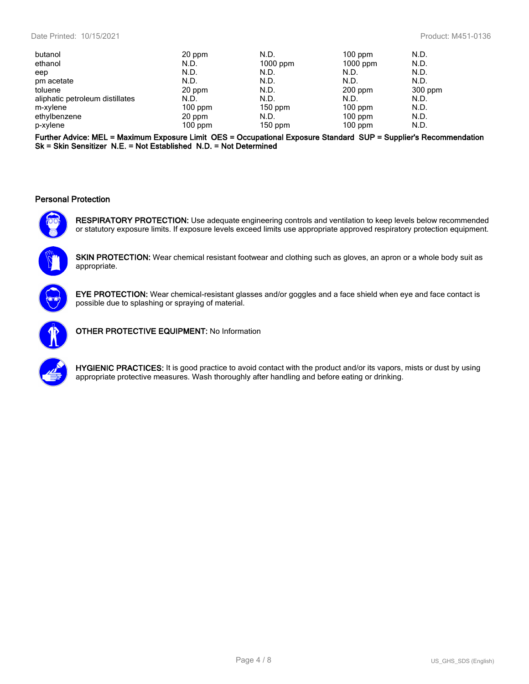| butanol                         | 20 ppm    | N.D.       | $100$ ppm  | N.D.    |
|---------------------------------|-----------|------------|------------|---------|
| ethanol                         | N.D.      | $1000$ ppm | $1000$ ppm | N.D.    |
| eep                             | N.D.      | N.D.       | N.D.       | N.D.    |
| pm acetate                      | N.D.      | N.D.       | N.D.       | N.D.    |
| toluene                         | 20 ppm    | N.D.       | $200$ ppm  | 300 ppm |
| aliphatic petroleum distillates | N.D.      | N.D.       | N.D.       | N.D.    |
| m-xylene                        | $100$ ppm | $150$ ppm  | $100$ ppm  | N.D.    |
| ethylbenzene                    | 20 ppm    | N.D.       | $100$ ppm  | N.D.    |
| p-xylene                        | $100$ ppm | $150$ ppm  | $100$ ppm  | N.D.    |
|                                 |           |            |            |         |

**Further Advice: MEL = Maximum Exposure Limit OES = Occupational Exposure Standard SUP = Supplier's Recommendation Sk = Skin Sensitizer N.E. = Not Established N.D. = Not Determined**

#### **Personal Protection**



**RESPIRATORY PROTECTION:** Use adequate engineering controls and ventilation to keep levels below recommended or statutory exposure limits. If exposure levels exceed limits use appropriate approved respiratory protection equipment.

**SKIN PROTECTION:** Wear chemical resistant footwear and clothing such as gloves, an apron or a whole body suit as appropriate.



**EYE PROTECTION:** Wear chemical-resistant glasses and/or goggles and a face shield when eye and face contact is possible due to splashing or spraying of material.



**OTHER PROTECTIVE EQUIPMENT:** No Information



**HYGIENIC PRACTICES:** It is good practice to avoid contact with the product and/or its vapors, mists or dust by using appropriate protective measures. Wash thoroughly after handling and before eating or drinking.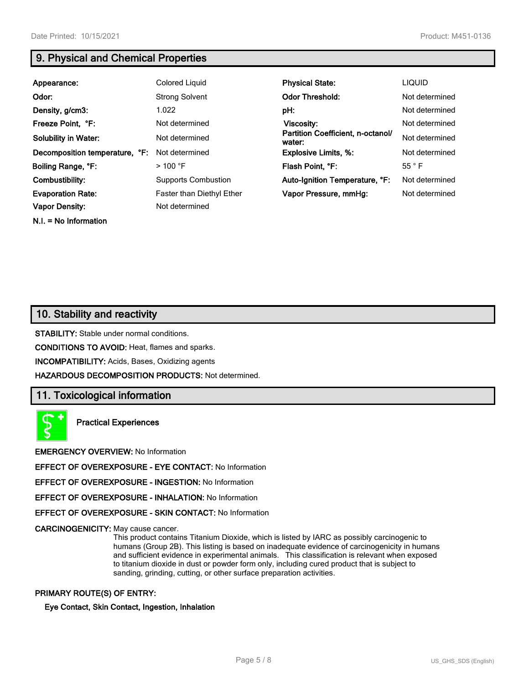**N.I. = No Information**

## **9. Physical and Chemical Properties**

| Appearance:                    | Colored Liquid                   | <b>Physical State:</b>                      | <b>LIQUID</b>  |
|--------------------------------|----------------------------------|---------------------------------------------|----------------|
| Odor:                          | <b>Strong Solvent</b>            | <b>Odor Threshold:</b>                      | Not determined |
| Density, g/cm3:                | 1.022                            | pH:                                         | Not determined |
| Freeze Point, °F:              | Not determined                   | Viscosity:                                  | Not determined |
| <b>Solubility in Water:</b>    | Not determined                   | Partition Coefficient, n-octanol/<br>water: | Not determined |
| Decomposition temperature, °F: | Not determined                   | <b>Explosive Limits, %:</b>                 | Not determined |
| Boiling Range, °F:             | $>$ 100 °F                       | Flash Point, °F:                            | $55^{\circ}$ F |
| Combustibility:                | <b>Supports Combustion</b>       | Auto-Ignition Temperature, °F:              | Not determined |
| <b>Evaporation Rate:</b>       | <b>Faster than Diethyl Ether</b> | Vapor Pressure, mmHg:                       | Not determined |
| <b>Vapor Density:</b>          | Not determined                   |                                             |                |

## **10. Stability and reactivity**

**STABILITY:** Stable under normal conditions.

**CONDITIONS TO AVOID:** Heat, flames and sparks.

**INCOMPATIBILITY:** Acids, Bases, Oxidizing agents

**HAZARDOUS DECOMPOSITION PRODUCTS:** Not determined.

#### **11. Toxicological information**

**Practical Experiences**

**EMERGENCY OVERVIEW:** No Information

**EFFECT OF OVEREXPOSURE - EYE CONTACT:** No Information

**EFFECT OF OVEREXPOSURE - INGESTION:** No Information

**EFFECT OF OVEREXPOSURE - INHALATION:** No Information

**EFFECT OF OVEREXPOSURE - SKIN CONTACT:** No Information

**CARCINOGENICITY:** May cause cancer.

This product contains Titanium Dioxide, which is listed by IARC as possibly carcinogenic to humans (Group 2B). This listing is based on inadequate evidence of carcinogenicity in humans and sufficient evidence in experimental animals. This classification is relevant when exposed to titanium dioxide in dust or powder form only, including cured product that is subject to sanding, grinding, cutting, or other surface preparation activities.

#### **PRIMARY ROUTE(S) OF ENTRY:**

**Eye Contact, Skin Contact, Ingestion, Inhalation**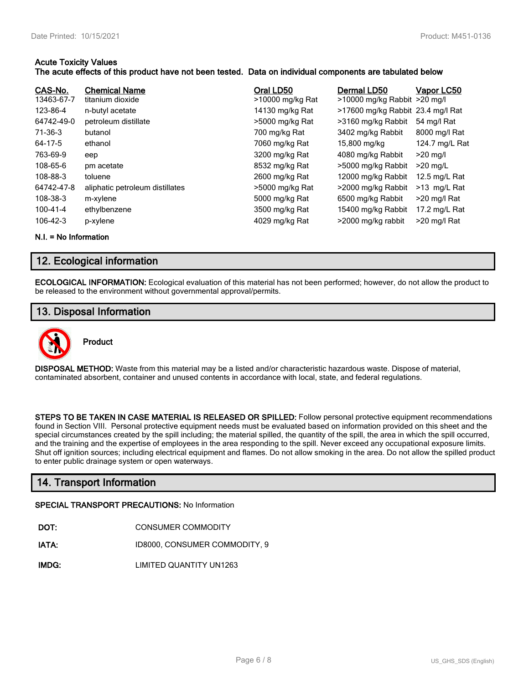#### **Acute Toxicity Values**

#### **The acute effects of this product have not been tested. Data on individual components are tabulated below**

| CAS-No.<br>13463-67-7 | <b>Chemical Name</b><br>titanium dioxide | Oral LD50<br>>10000 mg/kg Rat | Dermal LD50<br>>10000 mg/kg Rabbit >20 mg/l | Vapor LC50     |
|-----------------------|------------------------------------------|-------------------------------|---------------------------------------------|----------------|
| 123-86-4              | n-butyl acetate                          | 14130 mg/kg Rat               | >17600 mg/kg Rabbit 23.4 mg/l Rat           |                |
| 64742-49-0            | petroleum distillate                     | >5000 mg/kg Rat               | >3160 mg/kg Rabbit                          | 54 mg/l Rat    |
| 71-36-3               | butanol                                  | 700 mg/kg Rat                 | 3402 mg/kg Rabbit                           | 8000 mg/l Rat  |
| 64-17-5               | ethanol                                  | 7060 mg/kg Rat                | 15,800 mg/kg                                | 124.7 mg/L Rat |
| 763-69-9              | eep                                      | 3200 mg/kg Rat                | 4080 mg/kg Rabbit                           | $>20$ mg/l     |
| 108-65-6              | pm acetate                               | 8532 mg/kg Rat                | >5000 mg/kg Rabbit                          | $>20$ mg/L     |
| 108-88-3              | toluene                                  | 2600 mg/kg Rat                | 12000 mg/kg Rabbit                          | 12.5 mg/L Rat  |
| 64742-47-8            | aliphatic petroleum distillates          | >5000 mg/kg Rat               | >2000 mg/kg Rabbit                          | >13 mg/L Rat   |
| 108-38-3              | m-xylene                                 | 5000 mg/kg Rat                | 6500 mg/kg Rabbit                           | >20 mg/l Rat   |
| 100-41-4              | ethylbenzene                             | 3500 mg/kg Rat                | 15400 mg/kg Rabbit                          | 17.2 mg/L Rat  |
| $106 - 42 - 3$        | p-xylene                                 | 4029 mg/kg Rat                | >2000 mg/kg rabbit                          | >20 mg/l Rat   |

**N.I. = No Information**

## **12. Ecological information**

**ECOLOGICAL INFORMATION:** Ecological evaluation of this material has not been performed; however, do not allow the product to be released to the environment without governmental approval/permits.

## **13. Disposal Information**



## **Product**

**DISPOSAL METHOD:** Waste from this material may be a listed and/or characteristic hazardous waste. Dispose of material, contaminated absorbent, container and unused contents in accordance with local, state, and federal regulations.

**STEPS TO BE TAKEN IN CASE MATERIAL IS RELEASED OR SPILLED:** Follow personal protective equipment recommendations found in Section VIII. Personal protective equipment needs must be evaluated based on information provided on this sheet and the special circumstances created by the spill including; the material spilled, the quantity of the spill, the area in which the spill occurred, and the training and the expertise of employees in the area responding to the spill. Never exceed any occupational exposure limits. Shut off ignition sources; including electrical equipment and flames. Do not allow smoking in the area. Do not allow the spilled product to enter public drainage system or open waterways.

## **14. Transport Information**

#### **SPECIAL TRANSPORT PRECAUTIONS:** No Information

| DOT: | <b>CONSUMER COMMODITY</b> |
|------|---------------------------|
|      |                           |

**IATA:** ID8000, CONSUMER COMMODITY, 9

**IMDG:** LIMITED QUANTITY UN1263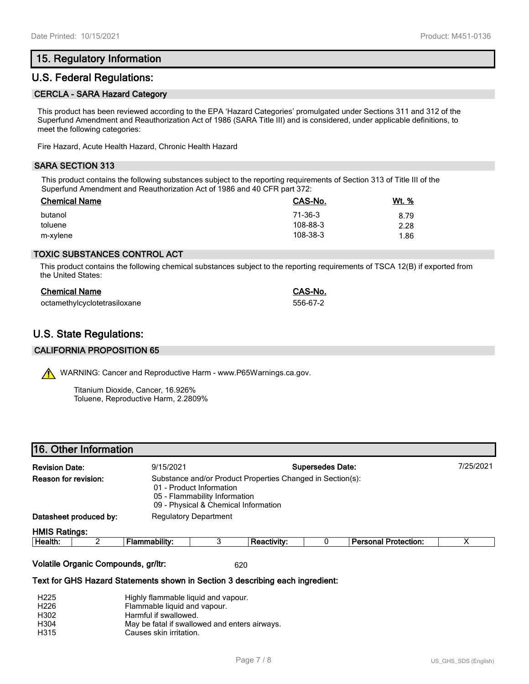## **15. Regulatory Information**

## **U.S. Federal Regulations:**

#### **CERCLA - SARA Hazard Category**

This product has been reviewed according to the EPA 'Hazard Categories' promulgated under Sections 311 and 312 of the Superfund Amendment and Reauthorization Act of 1986 (SARA Title III) and is considered, under applicable definitions, to meet the following categories:

Fire Hazard, Acute Health Hazard, Chronic Health Hazard

#### **SARA SECTION 313**

This product contains the following substances subject to the reporting requirements of Section 313 of Title III of the Superfund Amendment and Reauthorization Act of 1986 and 40 CFR part 372:

| <b>Chemical Name</b> | CAS-No.  | Wt. % |
|----------------------|----------|-------|
| butanol              | 71-36-3  | 8.79  |
| toluene              | 108-88-3 | 2.28  |
| m-xylene             | 108-38-3 | 1.86  |

#### **TOXIC SUBSTANCES CONTROL ACT**

This product contains the following chemical substances subject to the reporting requirements of TSCA 12(B) if exported from the United States:

| <b>Chemical Name</b>         | CAS-No.  |
|------------------------------|----------|
| octamethylcyclotetrasiloxane | 556-67-2 |

## **U.S. State Regulations:**

#### **CALIFORNIA PROPOSITION 65**

WARNING: Cancer and Reproductive Harm - www.P65Warnings.ca.gov.

Titanium Dioxide, Cancer, 16.926% Toluene, Reproductive Harm, 2.2809%

| <b>Revision Date:</b>  |  | <b>Supersedes Date:</b><br>9/15/2021                                                                                                                            |  |                    |  |                             | 7/25/2021 |  |
|------------------------|--|-----------------------------------------------------------------------------------------------------------------------------------------------------------------|--|--------------------|--|-----------------------------|-----------|--|
| Reason for revision:   |  | Substance and/or Product Properties Changed in Section(s):<br>01 - Product Information<br>05 - Flammability Information<br>09 - Physical & Chemical Information |  |                    |  |                             |           |  |
| Datasheet produced by: |  | <b>Regulatory Department</b>                                                                                                                                    |  |                    |  |                             |           |  |
| <b>HMIS Ratings:</b>   |  |                                                                                                                                                                 |  |                    |  |                             |           |  |
| Health:                |  | Flammability:                                                                                                                                                   |  | <b>Reactivity:</b> |  | <b>Personal Protection:</b> |           |  |
|                        |  |                                                                                                                                                                 |  |                    |  |                             |           |  |

#### **Volatile Organic Compounds, gr/ltr:** 620

#### **Text for GHS Hazard Statements shown in Section 3 describing each ingredient:**

| H <sub>225</sub> | Highly flammable liquid and vapour.           |
|------------------|-----------------------------------------------|
| H <sub>226</sub> | Flammable liquid and vapour.                  |
| H302             | Harmful if swallowed.                         |
| H <sub>304</sub> | May be fatal if swallowed and enters airways. |
| H315             | Causes skin irritation.                       |